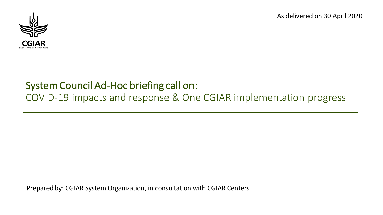

# System Council Ad-Hoc briefing call on: COVID-19 impacts and response & One CGIAR implementation progress

Prepared by: CGIAR System Organization, in consultation with CGIAR Centers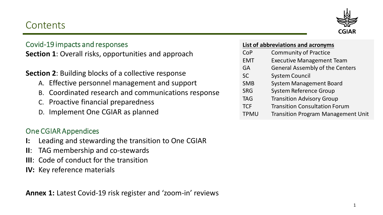# **Contents**



### Covid-19 impacts and responses

**Section 1**: Overall risks, opportunities and approach

### **Section 2**: Building blocks of a collective response

- A. Effective personnel management and support
- B. Coordinated research and communications response
- C. Proactive financial preparedness
- D. Implement One CGIAR as planned

### One CGIAR Appendices

- **I:** Leading and stewarding the transition to One CGIAR
- **II**: TAG membership and co-stewards
- **III**: Code of conduct for the transition
- **IV:** Key reference materials

**Annex 1:** Latest Covid-19 risk register and 'zoom-in' reviews

#### **List of abbreviations and acronyms**

- CoP Community of Practice
- EMT Executive Management Team
- GA General Assembly of the Centers
- SC System Council
- SMB System Management Board
- SRG System Reference Group
- TAG Transition Advisory Group
- TCF Transition Consultation Forum
- TPMU Transition Program Management Unit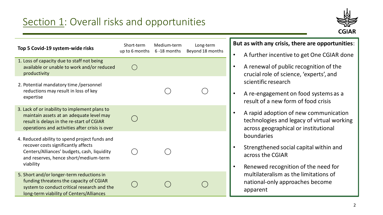

| Top 5 Covid-19 system-wide risks                                                                                                                                                          | Short-term<br>up to 6 months | Medium-term<br>6-18 months | Long-term<br>Beyond 18 months |
|-------------------------------------------------------------------------------------------------------------------------------------------------------------------------------------------|------------------------------|----------------------------|-------------------------------|
| 1. Loss of capacity due to staff not being<br>available or unable to work and/or reduced<br>productivity                                                                                  |                              |                            |                               |
| 2. Potential mandatory time /personnel<br>reductions may result in loss of key<br>expertise                                                                                               |                              |                            |                               |
| 3. Lack of or inability to implement plans to<br>maintain assets at an adequate level may<br>result is delays in the re-start of CGIAR<br>operations and activities after crisis is over  |                              |                            |                               |
| 4. Reduced ability to spend project funds and<br>recover costs significantly affects<br>Centers/Alliances' budgets, cash, liquidity<br>and reserves, hence short/medium-term<br>viability |                              |                            |                               |
| 5. Short and/or longer-term reductions in<br>funding threatens the capacity of CGIAR<br>system to conduct critical research and the<br>long-term viability of Centers/Alliances           |                              |                            |                               |

#### **But as with any crisis, there are opportunities**:

- A further incentive to get One CGIAR done
- A renewal of public recognition of the crucial role of science, 'experts', and scientific research
- A re-engagement on food systems as a result of a new form of food crisis
- A rapid adoption of new communication technologies and legacy of virtual working across geographical or institutional boundaries
- Strengthened social capital within and across the CGIAR
- Renewed recognition of the need for multilateralism as the limitations of national-only approaches become apparent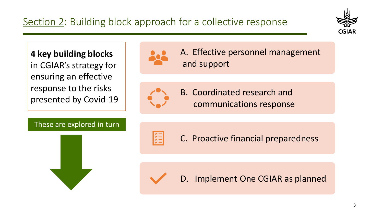

**4 key building blocks**  in CGIAR's strategy for ensuring an effective response to the risks presented by Covid-19



A. Effective personnel management and support



B. Coordinated research and communications response

These are explored in turn





C. Proactive financial preparedness



D. Implement One CGIAR as planned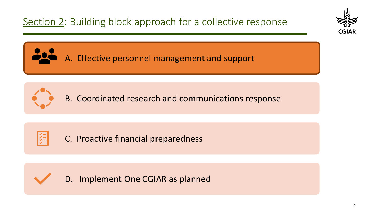



B. Coordinated research and communications response



C. Proactive financial preparedness



D. Implement One CGIAR as planned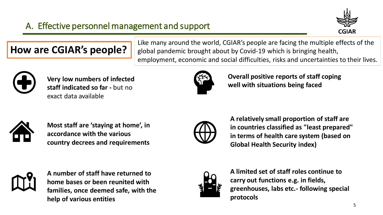

# **How are CGIAR's people?**

Like many around the world, CGIAR's people are facing the multiple effects of the global pandemic brought about by Covid-19 which is bringing health, employment, economic and social difficulties, risks and uncertainties to their lives.



**Very low numbers of infected staff indicated so far -** but no exact data available



**Overall positive reports of staff coping well with situations being faced**



**Most staff are 'staying at home', in accordance with the various country decrees and requirements**



**A relatively small proportion of staff are in countries classified as "least prepared" in terms of health care system (based on Global Health Security index)**



**A number of staff have returned to home bases or been reunited with families, once deemed safe, with the help of various entities**



**A limited set of staff roles continue to carry out functions e.g. in fields, greenhouses, labs etc.- following special protocols**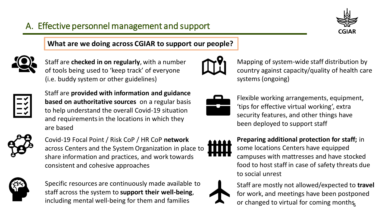

**What are we doing across CGIAR to support our people?**



Staff are **checked in on regularly**, with a number of tools being used to 'keep track' of everyone (i.e. buddy system or other guidelines)



Staff are **provided with information and guidance based on authoritative sources** on a regular basis to help understand the overall Covid-19 situation and requirements in the locations in which they are based



Covid-19 Focal Point / Risk CoP / HR CoP **network** across Centers and the System Organization in place to share information and practices, and work towards consistent and cohesive approaches



Specific resources are continuously made available to staff across the system to **support their well-being**, including mental well-being for them and families



Mapping of system-wide staff distribution by country against capacity/quality of health care systems (ongoing)



Flexible working arrangements, equipment, 'tips for effective virtual working', extra security features, and other things have been deployed to support staff



**Preparing additional protection for staff;** in some locations Centers have equipped campuses with mattresses and have stocked food to host staff in case of safety threats due to social unrest



or changed to virtual for coming months Staff are mostly not allowed/expected to **travel** for work, and meetings have been postponed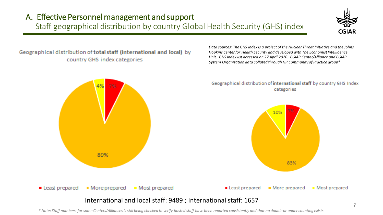### A. Effective Personnel management and support Staff geographical distribution by country Global Health Security (GHS) index



Geographical distribution of total staff (international and local) by country GHS index categories

*Data sources: The GHS Index is a project of the Nuclear Threat Initiative and the Johns Hopkins Center for Health Security and developed with The Economist Intelligence Unit. GHS Index list accessed on 27 April 2020. CGIAR Center/Alliance and CGIAR System Organization data collated through HR Community of Practice group\**



*\* Note: Staff numbers for some Centers/Alliances is still being checked to verify hosted staff have been reported consistently and that no double or under counting exists*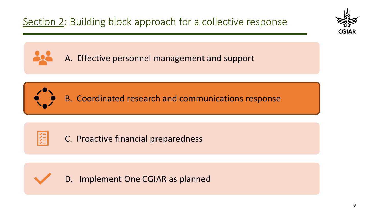

B. Coordinated research and communications response



C. Proactive financial preparedness



D. Implement One CGIAR as planned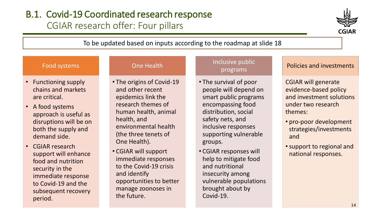# B.1. Covid-19 Coordinated research response CGIAR research offer: Four pillars



#### To be updated based on inputs according to the roadmap at slide 18

#### Food systems

- Functioning supply chains and markets are critical.
- A food systems approach is useful as disruptions will be on both the supply and demand side.
- CGIAR research support will enhance food and nutrition security in the immediate response to Covid-19 and the subsequent recovery period.

#### One Health

- The origins of Covid-19 and other recent epidemics link the research themes of human health, animal health, and environmental health (the three tenets of One Health).
- CGIAR will support immediate responses to the Covid-19 crisis and identify opportunities to better manage zoonoses in the future.

#### Inclusive public programs

- The survival of poor people will depend on smart public programs encompassing food distribution, social safety nets, and inclusive responses supporting vulnerable groups.
- CGIAR responses will help to mitigate food and nutritional insecurity among vulnerable populations brought about by Covid-19.

#### Policies and investments

- CGIAR will generate evidence-based policy and investment solutions under two research themes:
- pro-poor development strategies/investments and
- •support to regional and national responses.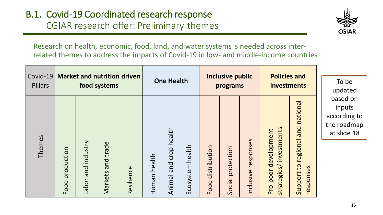

Research on health, economic, food, land, and water systems is needed across interrelated themes to address the impacts of Covid-19 in low- and middle-income countries

| Covid-19<br>Pillars | <b>Market and nutrition driven</b><br>food systems |                                                 |                         |            | <b>One Health</b> |                                 |                     | <b>Inclusive public</b><br>programs |                      | <b>Policies and</b><br>investments |                                                       | To be<br>updated                                    |                                                                  |
|---------------------|----------------------------------------------------|-------------------------------------------------|-------------------------|------------|-------------------|---------------------------------|---------------------|-------------------------------------|----------------------|------------------------------------|-------------------------------------------------------|-----------------------------------------------------|------------------------------------------------------------------|
| Themes              | production<br>Food                                 | industry<br>$\overline{C}$<br>$\sigma$<br>Labor | trade<br>bue<br>Markets | Resilience | health<br>Human   | health<br>crop<br>bue<br>Animal | Ecosystem<br>health | Food distribution                   | protection<br>Social | responses<br>Inclusive             | investments<br>development<br>strategies/<br>Pro-poor | national<br>regional and<br>Support to<br>responses | based on<br>inputs<br>according to<br>the roadmap<br>at slide 18 |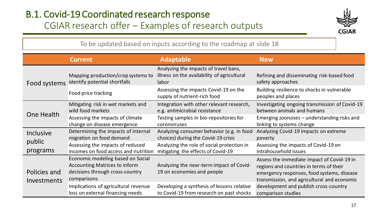# B.1. Covid-19 Coordinated research response CGIAR research offer – Examples of research outputs



To be updated based on inputs according to the roadmap at slide 18

|                             | <b>Current</b>                                                                                                              | <b>Adaptable</b>                                                                              | <b>New</b>                                                                                                                                                                         |
|-----------------------------|-----------------------------------------------------------------------------------------------------------------------------|-----------------------------------------------------------------------------------------------|------------------------------------------------------------------------------------------------------------------------------------------------------------------------------------|
| Food systems                | Mapping production/crop systems to<br>identify potential shortfalls                                                         | Analyzing the impacts of travel bans,<br>illness on the availability of agricultural<br>labor | Refining and disseminating risk-based food<br>safety approaches                                                                                                                    |
|                             | Food price tracking                                                                                                         | Assessing the impacts Covid-19 on the<br>supply of nutrient-rich food                         | Building resilience to shocks in vulnerable<br>peoples and places                                                                                                                  |
|                             | Mitigating risk in wet markets and                                                                                          | Integration with other relevant research,                                                     | Investigating ongoing transmission of Covid-19                                                                                                                                     |
|                             | wild food markets                                                                                                           | e.g. antimicrobial resistance                                                                 | between animals and humans                                                                                                                                                         |
| One Health                  | Assessing the impacts of climate                                                                                            | Testing samples in bio-repositories for                                                       | Emerging zoonoses – understanding risks and                                                                                                                                        |
|                             | change on disease emergence                                                                                                 | coronviruses                                                                                  | linking to systems change                                                                                                                                                          |
| Inclusive                   | Determining the impacts of internal                                                                                         | Analyzing consumer behavior (e.g. in food                                                     | Analyzing Covid-19 impacts on extreme                                                                                                                                              |
|                             | migration on food demand                                                                                                    | choices) during the Covid-19 crisis                                                           | poverty                                                                                                                                                                            |
| public                      | Assessing the impacts of reduced                                                                                            | Analyzing the role of social protection in                                                    | Assessing the impacts of Covid-19 on                                                                                                                                               |
| programs                    | incomes on food access and nutrition                                                                                        | mitigating the effects of Covid-19                                                            | intrahousehold issues                                                                                                                                                              |
| Policies and<br>Investments | Economic modeling based on Social<br><b>Accounting Matrices to inform</b><br>decisions through cross-country<br>comparisons | Analyzing the near-term impact of Covid-<br>19 on economies and people                        | Assess the immediate impact of Covid-19 in<br>regions and countries in terms of their<br>emergency responses, food systems, disease<br>transmission, and agricultural and economic |
|                             | Implications of agricultural revenue                                                                                        | Developing a synthesis of lessons relative                                                    | development and publish cross-country                                                                                                                                              |
|                             | loss on external financing needs                                                                                            | to Covid-19 from research on past shocks                                                      | comparison studies                                                                                                                                                                 |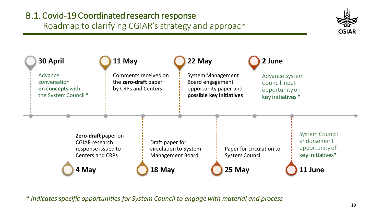# B.1. Covid-19 Coordinated research response

Roadmap to clarifying CGIAR's strategy and approach





*\* Indicates specific opportunities for System Council to engage with material and process*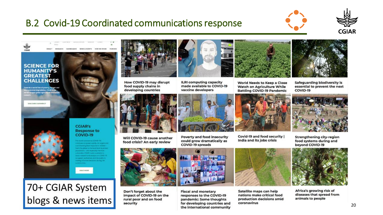





**GREATEST CHALLENGES** 

owards a world free of poverty, hunger and mental degradation, CGIAR is the **Es largest giotal agricultural innov** 

DISCOVER OUR IMPACT



#### **CGIAR's Response to** COVID-19 **TRIVIA CONTINUES IN TERMINER**

mitte proteining the focal tener to antite es remarch and analysis on COVD-1 support authorities and the public in

classical capacity Arrangem and

SIRAD NORE





How COVID-19 may disrupt food supply chains in developing countries



Will COVID-19 cause another food crisis? An early review



Don't forget about the impact of COVID-19 on the rural poor and on food security



**ILRI computing capacity** made available to COVID-19 vaccine developers





Covid-19 and food security | India and its jobs crisis



Safeguarding biodiversity is essential to prevent the next COVID-19



**Strengthening city-region** food systems during and bevond COVID-19



Africa's growing risk of diseases that spread from animals to people





Satellite maps can help nations make critical food production decisions amid coronavirus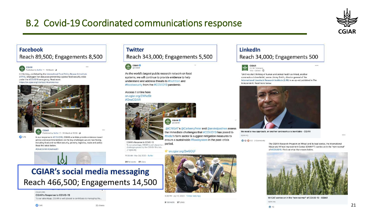

#### **Facebook** Reach 89,500; Engagements 8,500



In this blog, published by the International Food Policy Research Institute (IFPRI), Shenggen Fan discusses preventing a global food security crisis under the #COVID19 emergency. Read more: https://on.cgiar.org/33c1qxG #coronavirus



**01.7K** 

Published by Buffer (?) - 24 March at 18:30 - Q

In our response to #COVID19, CGIAR scientists provide evidence-based advice and recommendations on the key challenges we are now facing. including food and nutrition security, poverty, logistics, trade and policy. Read the latest below.

#OneCGIAR #OneHealth

#### **Twitter**

Reach 343,000; Engagements 5,500



As the world's largest public research network on food systems, we will continue to provide evidence to help understand and address threats to #nutrition and #foodsecurity from the #COVID19 pandemic.

#### Access it online here on.cgiar.org/2WAcSir #OneCGIAR

**CGIAR @CGIAR** @ICRISAT's @CarberryPeter and @arvindpadhee assess

CGIAR's Response to COVID-19 CGIAR's Response to COVID-19<br>To our advantage, CGIAR is well placed to  $\epsilon$  **period.** challenges posed by the COVID-19 crisis. P cgiar.org

11:30 AM - Mar 24, 2020 - Buffer

20 Retweets 27 Likes

# **CGIAR's social media messaging** Reach 466,500; Engagements 14,500

COIAR ORD

**CGIAR's Response to COVID-19** To our advantage, CGIAR is well placed to contribute to managing the...

# on.cgiar.org/2wGOtjF

the immediate challenges that #COVID19 has posed to

#India's farm sector & suggest mitigation measures to

ensure a sustainable #foodsystem in the post-crisis

4:26 PM - Apr 17, 2020 - Twitter Web App

#### 8 Retweets 37 Likes

#### LinkedIn Reach 34,000; Engagements 500



'Until we start thinking of human and animal health as linked, another coronavirus is inevitable', warns Jimmy Smith, director general of the International Livestock Research Institute (ILRI) in an op-ed published in The Independent, Read more below.



We need a new approach, or another coronavirus is inevitable - CGIAR cgiar.org

 $...$ 

0 0 0 53 - 3 Comments

The CGIAR Research Program on Wheat and its lead center, the International Maize and Wheat Improvement Center (CIMMYT) carries on in the "new normal" of #COVID19. Find out what that means helow

 $1.11$ 



WHEAT carries on in the "new normal" of COVID-19 - CGIAR

cgiar.org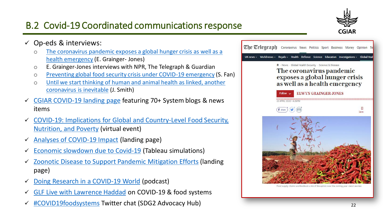

- $\checkmark$  Op-eds & interviews:
	- o [The coronavirus pandemic exposes a global hunger crisis as well as a](https://www.telegraph.co.uk/global-health/science-and-disease/coronavirus-pandemic-exacerbates-widespread-crisis-global-hunger/)  health emergency (E. Grainger- Jones)
	- o E. Grainger-Jones interviews with NPR, The Telegraph & Guardian
	- o [Preventing global food security crisis under COVID-19 emergency](https://www.cgiar.org/news-events/news/preventing-global-food-security-crisis-under-covid-19-emergency/) (S. Fan)
	- o [Until we start thinking of human and animal health as linked, another](https://www.independent.co.uk/independentpremium/voices/coronavirus-symptoms-latest-china-human-animal-health-outbreak-a9359841.html)  coronavirus is inevitable (J. Smith)
- [CGIAR COVID-19 landing page](https://www.cgiar.org/news-events/all-news/our-response-to-covid-19/) featuring 70+ System blogs & news items
- ✓ [COVID-19: Implications for Global and Country-Level Food Security,](https://www.ifpri.org/event/virtual-event-covid-19-implications-global-and-country-level-food-security-nutrition-and)  Nutrition, and Poverty (virtual event)
- [Analyses of COVID-19 Impact](https://www.ifpri.org/spotlight/ifpri-resources-and-analyses-coronavirus-disease-covid-19-pandemic) (landing page)
- Economic [slowdown due to Covid-19](https://public.tableau.com/profile/laborde6680#!/vizhome/IFPRI_Blog_Coronavirus_LMV_032020/MainStory) (Tableau simulations)
- **Zoonotic Disease to Support Pandemic Mitigation Efforts (landing** page)
- [Doing Research in a COVID-19 World](https://www.ifpri.org/podcast/research-talks/episode-4-doing-research-covid-19-world) (podcast)
- [GLF Live with Lawrence Haddad](https://cifor.us7.list-manage.com/track/click?u=68cb62552ce24ab3c280248d7&id=33bd46692a&e=9eb288576f) on COVID-19 & food systems
- ✓ [#COVID19foodsystems](https://twitter.com/hashtag/covid19foodsystems) Twitter chat (SDG2 Advocacy Hub)



Food supply chains worldwide at a risk of dispuntion over the coming year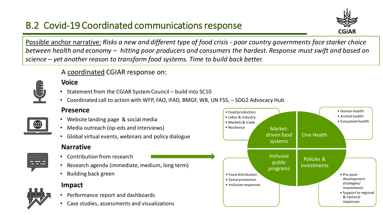

Possible anchor narrative: *Risks a new and different type of food crisis - poor country governments face starker choice between health and economy – hitting poor producers and consumers the hardest. Response must swift and based on science – yet another reason to transform food systems. Time to build back better.* 



#### A coordinated CGIAR response on:

#### **Voice**

- Statement from the CGIAR System Council build into SC10
- Coordinated call to action with WFP, FAO, IFAD, BMGF, WB, UN FSS, SDG2 Advocacy Hub

#### **Presence**

- Website landing page & social media
- Media outreach (op-eds and interviews)
- Global virtual events, webinars and policy dialogue

#### **Narrative**

**Impact**

- Contribution from research
- Research agenda (immediate, medium, long term)
- Building back green



• Case studies, assessments and visualizations



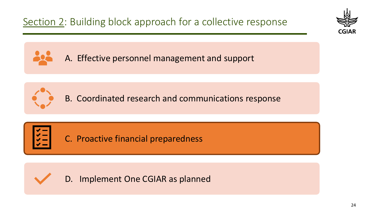



B. Coordinated research and communications response



C. Proactive financial preparedness



D. Implement One CGIAR as planned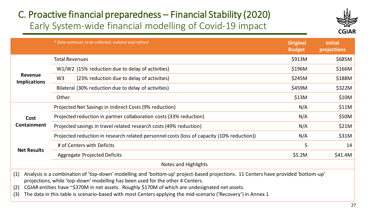# C. Proactive financial preparedness – Financial Stability (2020) Early System-wide financial modelling of Covid-19 impact



|                                | * Data continues to be collected, collated and refined                                     | <b>Original</b><br><b>Budget</b> | <b>Initial</b><br>projections |
|--------------------------------|--------------------------------------------------------------------------------------------|----------------------------------|-------------------------------|
|                                | <b>Total Revenues</b>                                                                      | \$913M                           | \$685M                        |
|                                | W1/W2 (15% reduction due to delay of activities)                                           | \$196M                           | \$166M                        |
| Revenue<br><b>Implications</b> | W <sub>3</sub><br>(23% reduction due to delay of activities)                               | \$245M                           | \$188M                        |
|                                | Bilateral (30% reduction due to delay of activities)                                       | \$459M                           | \$322M                        |
|                                | Other                                                                                      | \$13M                            | \$10M                         |
|                                | Projected Net Savings in Indirect Costs (9% reduction)                                     | N/A                              | \$11M                         |
| Cost                           | Projected reduction in partner collaboration costs (33% reduction)                         | N/A                              | \$50M                         |
| <b>Containment</b>             | Projected savings in travel related research costs (49% reduction)                         | N/A                              | \$21M                         |
|                                | Projected reduction in research related personnel costs (loss of capacity (10% reduction)) | N/A                              | \$31M                         |
|                                | # of Centers with Deficits                                                                 | 5                                | 14                            |
| <b>Net Results</b>             | Aggregate Projected Deficits                                                               | \$5.2M                           | \$41.4M                       |
|                                | Notes and Highlights                                                                       |                                  |                               |

- (1) Analysis is a combination of 'top-down' modelling and 'bottom-up' project-based projections. 11 Centers have provided 'bottom-up' projections, while 'top-down' modelling has been used for the other 4 Centers.
- (2) CGIAR entities have ~\$370M in net assets. Roughly \$170M of which are undesignated net assets.
- (3) The data in this table is scenario-based with most Centers applying the mid-scenario ('Recovery') in Annex 1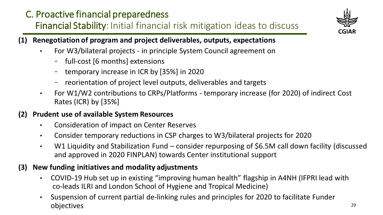# C. Proactive financial preparedness Financial Stability: Initial financial risk mitigation ideas to discuss



- **(1) Renegotiation of program and project deliverables, outputs, expectations** 
	- For W3/bilateral projects in principle System Council agreement on
		- full-cost [6 months] extensions
		- temporary increase in ICR by [35%] in 2020
		- reorientation of project level outputs, deliverables and targets
	- For W1/W2 contributions to CRPs/Platforms temporary increase (for 2020) of indirect Cost Rates (ICR) by [35%]

### **(2) Prudent use of available System Resources**

- Consideration of impact on Center Reserves
- Consider temporary reductions in CSP charges to W3/bilateral projects for 2020
- W1 Liquidity and Stabilization Fund consider repurposing of \$6.5M call down facility (discussed and approved in 2020 FINPLAN) towards Center institutional support

### **(3) New funding initiatives and modality adjustments**

- COVID-19 Hub set up in existing "improving human health" flagship in A4NH (IFPRI lead with co-leads ILRI and London School of Hygiene and Tropical Medicine)
- Suspension of current partial de-linking rules and principles for 2020 to facilitate Funder objectives <sup>29</sup>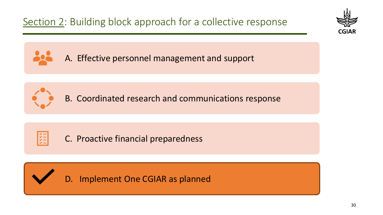



B. Coordinated research and communications response



C. Proactive financial preparedness



D. Implement One CGIAR as planned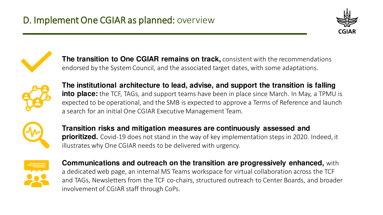



**The transition to One CGIAR remains on track,** consistent with the recommendations endorsed by the System Council, and the associated target dates, with some adaptations.



**The institutional architecture to lead, advise, and support the transition is falling into place:** the TCF, TAGs, and support teams have been in place since March. In May, a TPMU is expected to be operational, and the SMB is expected to approve a Terms of Reference and launch a search for an initial One CGIAR Executive Management Team.



**Transition risks and mitigation measures are continuously assessed and prioritized.** Covid-19 does not stand in the way of key implementation steps in 2020. Indeed, it illustrates why One CGIAR needs to be delivered with urgency.



**Communications and outreach on the transition are progressively enhanced,** with a dedicated web page, an internal MS Teams workspace for virtual collaboration across the TCF and TAGs, Newsletters from the TCF co-chairs, structured outreach to Center Boards, and broader involvement of CGIAR staff through CoPs.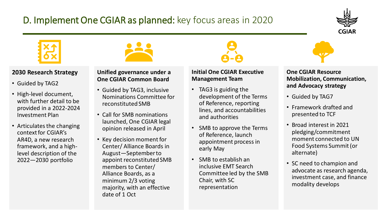# D. Implement One CGIAR as planned: key focus areas in 2020





#### **2030 Research Strategy**

- Guided by TAG2
- High-level document, with further detail to be provided in a 2022-2024 Investment Plan
- Articulates the changing context for CGIAR's AR4D, a new research framework, and a highlevel description of the 2022—2030 portfolio

**Unified governance under a** 

#### **One CGIAR Common Board** • Guided by TAG3, inclusive Nominations Committee for

• Call for SMB nominations launched, One CGIAR legal opinion released in April

reconstituted SMB

• Key decision moment for Center/ Alliance Boards in August—September to appoint reconstituted SMB members to Center/ Alliance Boards, as a minimum 2/3 voting majority, with an effective date of 1 Oct

#### **Initial One CGIAR Executive Management Team**

- TAG3 is guiding the development of the Terms of Reference, reporting lines, and accountabilities and authorities
- SMB to approve the Terms of Reference, launch appointment process in early May
- SMB to establish an inclusive EMT Search Committee led by the SMB Chair, with SC representation

#### **One CGIAR Resource Mobilization, Communication, and Advocacy strategy**

- Guided by TAG7
- Framework drafted and presented to TCF
- Broad interest in 2021 pledging/commitment moment connected to UN Food Systems Summit (or alternate)
- SC need to champion and advocate as research agenda, investment case, and finance modality develops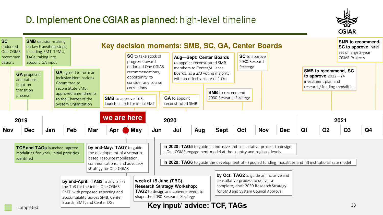# D. Implement One CGIAR as planned: high-level timeline



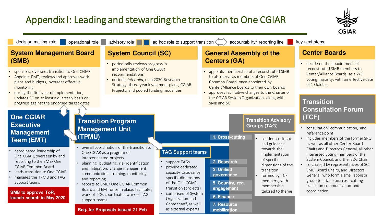# Appendix I: Leading and stewarding the transition to One CGIAR



#### **System Management Board • System Council (SC) • General Assembly of the Center Boards (SMB)**

- sponsors, oversees transition to One CGIAR
- Appoints EMT, reviews and approves work plans and budgets, oversees effective monitoring
- during the first year of implementation, updates SC on at least a quarterly basis on progress against the endorsed target dates

#### decision-making role operational role advisory role a ad hoc role to support transition  $\langle \rangle$  accountability/ reporting line

- periodically reviews progress in implementation of One CGIAR recommendations
- decides, *inter alia*, on a 2030 Research Strategy, three-year investment plans, CGIAR Projects, and pooled funding modalities

#### **General Assembly of the Centers (GA)**

- appoints membership of a reconstituted SMB to also serve as members of One CGIAR Common Board, once appointed by Center/Alliance boards to their own boards
- approves facilitative changes to the Charter of the CGIAR System Organization, along with SMB and SC

**2. Research**

**5. Country, reg. engagement**

**3. Unified governance**

**6. Finance**

**7. Resource mobilization**

key next steps

decide on the appointment of reconstituted SMB members to Center/Alliance Boards, as a 2/3 voting majority, with an effective date of 1 October

#### **Transition Consultation Forum (TCF)**

- consultation, communication, and reference point
- includes members of the former SRG, as well as all other Center Board Chairs and Directors General, all other interested voting members of the System Council, and the ISDC Chair
- co-chaired by representatives of SC, SMB, Board Chairs, and Directors General, who form a small sponsor group to advise on cross-cutting transition communication and coordination

#### **One CGIAR Executive Management Team (EMT)**

- coordinated leadership of One CGIAR, overseen by and reporting to the SMB/ One CGIAR Common Board
- leads transition to One CGIAR
- manages the TPMU and TAG support teams

#### **SMB to approve ToR, launch search in May 2020**

#### **Transition Program Management Unit (TPMU)**

- overall coordination of the transition to One CGIAR as a program of interconnected projects
- planning, budgeting, risk identification and mitigation, change management, communication, training, monitoring, and reporting
- reports to SMB/ One CGIAR Common Board and EMT once in place, facilitates work of TCF, coordinates work of TAG support teams

#### **Req. for Proposals issued 21 Feb**

### **TAG Support teams**

- support TAGs
- provide dedicated capacity to advance specific dimensions of the One CGIAR transition (projects)
- comprised of System Organization and Center staff, as well as external experts

#### **Transition Advisory Groups (TAG) 1. Cross-cutting**

- continuous input and guidance towards the implementation of specific dimensions of the
- transition • formed by TCF
- members, with membership tailored to theme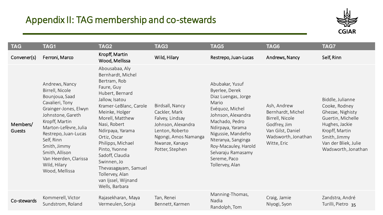# Appendix II: TAG membership and co-stewards



| <b>TAG</b>         | <b>TAG1</b>                                                                                                                                                                                                                                                                                        | TAG <sub>2</sub>                                                                                                                                                                                                                                                                                                                                                                      | TAG3                                                                                                                                                      | TAG5                                                                                                                                                                                                                                                                          | TAG6                                                                                                                           | <b>TAG7</b>                                                                                                                                                                   |
|--------------------|----------------------------------------------------------------------------------------------------------------------------------------------------------------------------------------------------------------------------------------------------------------------------------------------------|---------------------------------------------------------------------------------------------------------------------------------------------------------------------------------------------------------------------------------------------------------------------------------------------------------------------------------------------------------------------------------------|-----------------------------------------------------------------------------------------------------------------------------------------------------------|-------------------------------------------------------------------------------------------------------------------------------------------------------------------------------------------------------------------------------------------------------------------------------|--------------------------------------------------------------------------------------------------------------------------------|-------------------------------------------------------------------------------------------------------------------------------------------------------------------------------|
| Convener(s)        | Ferroni, Marco                                                                                                                                                                                                                                                                                     | Kropff, Martin<br>Wood, Mellissa                                                                                                                                                                                                                                                                                                                                                      | Wild, Hilary                                                                                                                                              | Restrepo, Juan-Lucas                                                                                                                                                                                                                                                          | Andrews, Nancy                                                                                                                 | Self, Rinn                                                                                                                                                                    |
| Members/<br>Guests | Andrews, Nancy<br>Birrell, Nicole<br>Bounjoua, Saad<br>Cavalieri, Tony<br>Grainger-Jones, Elwyn<br>Johnstone, Gareth<br>Kropff, Martin<br>Marton-Lefèvre, Julia<br>Restrepo, Juan-Lucas<br>Self, Rinn<br>Smith, Jimmy<br>Smith, Allison<br>Van Heerden, Clarissa<br>Wild, Hilary<br>Wood, Mellissa | Abousabaa, Aly<br>Bernhardt, Michel<br>Bertram, Rob<br>Faure, Guy<br>Hubert, Bernard<br>Jallow, Isatou<br>Kramer-LeBlanc, Carole<br>Meinke, Holger<br>Morell, Matthew<br>Nasi, Robert<br>Ndirpaya, Yarama<br>Ortiz, Oscar<br>Philipps, Michael<br>Pinto, Yvonne<br>Sadoff, Claudia<br>Swinnen, Jo<br>Thevasagayam, Samuel<br>Tollervey, Alan<br>van Ijssel, Wijnand<br>Wells, Barbara | Birdsall, Nancy<br>Cackler, Mark<br>Falvey, Lindsay<br>Johnson, Alexandra<br>Lenton, Roberto<br>Ngongi, Amos Namanga<br>Nwanze, Kanayo<br>Potter, Stephen | Abubakar, Yusuf<br>Byerlee, Derek<br>Diaz Luengas, Jorge<br>Mario<br>Evéquoz, Michel<br>Johnson, Alexandra<br>Machado, Pedro<br>Ndirpaya, Yarama<br>Nigussie, Mandefro<br>Nteranya, Sanginga<br>Roy-Macauley, Harold<br>Selvaraju Ramasamy<br>Sereme, Paco<br>Tollervey, Alan | Ash, Andrew<br>Bernhardt, Michel<br>Birrell, Nicole<br>Godfrey, Jim<br>Van Gilst, Daniel<br>Wadsworth, Jonathan<br>Witte, Eric | Biddle, Julianne<br>Cooke, Rodney<br>Ghezae, Nighisty<br>Guertin, Michelle<br>Hughes, Jackie<br>Kropff, Martin<br>Smith, Jimmy<br>Van der Bliek, Julie<br>Wadsworth, Jonathan |
| Co-stewards        | Kommerell, Victor<br>Sundstrom, Roland                                                                                                                                                                                                                                                             | Rajasekharan, Maya<br>Vermeulen, Sonja                                                                                                                                                                                                                                                                                                                                                | Tan, Renei<br>Bennett, Karmen                                                                                                                             | Manning-Thomas,<br>Nadia<br>Randolph, Tom                                                                                                                                                                                                                                     | Craig, Jamie<br>Niyogi, Syon                                                                                                   | Zandstra, André<br>Turilli, Pietro 35                                                                                                                                         |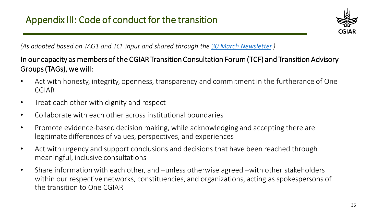

*(As adopted based on TAG1 and TCF input and shared through the [30 March Newsletter.](https://storage.googleapis.com/cgiarorg/2020/03/TCF-Co-Chairs-Message-3rd-edition-March-2020.pdf))*

### In our capacity as members of the CGIAR Transition Consultation Forum (TCF) and Transition Advisory Groups (TAGs), we will:

- Act with honesty, integrity, openness, transparency and commitment in the furtherance of One CGIAR
- Treat each other with dignity and respect
- Collaborate with each other across institutional boundaries
- Promote evidence-based decision making, while acknowledging and accepting there are legitimate differences of values, perspectives, and experiences
- Act with urgency and support conclusions and decisions that have been reached through meaningful, inclusive consultations
- Share information with each other, and –unless otherwise agreed –with other stakeholders within our respective networks, constituencies, and organizations, acting as spokespersons of the transition to One CGIAR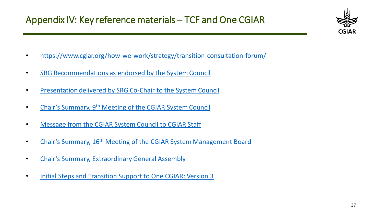

- <https://www.cgiar.org/how-we-work/strategy/transition-consultation-forum/>
- [SRG Recommendations as endorsed by the System Council](https://storage.googleapis.com/cgiarorg/2019/11/SC9-02_SRG-Recommendations-OneCGIAR.pdf)
- [Presentation delivered by SRG Co-Chair to the System Council](https://storage.googleapis.com/cgiarorg/2019/11/Presentation_srg-recommendations-for-one-cgiar.pdf)
- Chair's Summary, 9th [Meeting of the CGIAR System Council](https://storage.googleapis.com/cgiarorg/2019/11/SC9-Chairs-Summary.pdf)
- [Message from the CGIAR System Council to CGIAR Staff](https://storage.googleapis.com/cgiarorg/2019/12/Message-for-CGIAR-One-CGIAR.pdf)
- Chair's Summary, 16<sup>th</sup> [Meeting of the CGIAR System Management Board](https://storage.googleapis.com/cgiarorg/2020/02/SMB16-10_ChairsSummary-Final.pdf)
- [Chair's Summary, Extraordinary General Assembly](https://storage.googleapis.com/cgiarorg/2019/12/Ex-GA_Co-ChairsSummary_Dec2019.pdf)
- [Initial Steps and Transition Support to One CGIAR: Version 3](https://storage.googleapis.com/cgiarorg/2020/01/SMB16-03a_Initial-Steps-and-Transition-Support-to-One-CGIAR-v3-WEBSITE.pdf)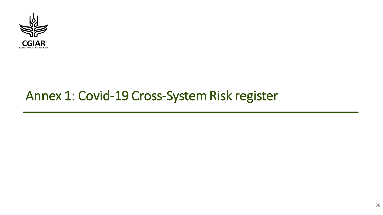

# Annex 1: Covid-19 Cross-System Risk register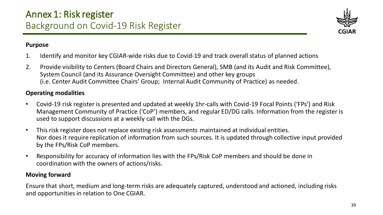

#### **Purpose**

- 1. Identify and monitor key CGIAR-wide risks due to Covid-19 and track overall status of planned actions
- 2. Provide visibility to Centers (Board Chairs and Directors General), SMB (and its Audit and Risk Committee), System Council (and its Assurance Oversight Committee) and other key groups (i.e. Center Audit Committee Chairs' Group; Internal Audit Community of Practice) as needed.

### **Operating modalities**

- Covid-19 risk register is presented and updated at weekly 1hr-calls with Covid-19 Focal Points ('FPs') and Risk Management Community of Practice ('CoP') members, and regular ED/DG calls. Information from the register is used to support discussions at a weekly call with the DGs.
- This risk register does not replace existing risk assessments maintained at individual entities. Nor does it require replication of information from such sources. It is updated through collective input provided by the FPs/Risk CoP members.
- Responsibility for accuracy of information lies with the FPs/Risk CoP members and should be done in coordination with the owners of actions/risks.

#### **Moving forward**

Ensure that short, medium and long-term risks are adequately captured, understood and actioned, including risks and opportunities in relation to One CGIAR.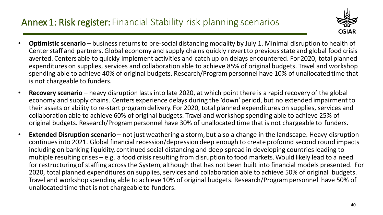# Annex 1: Risk register: Financial Stability risk planning scenarios



- **Optimistic scenario**  business returns to pre-social distancing modality by July 1. Minimal disruption to health of Center staff and partners. Global economy and supply chains quickly revert to previous state and global food crisis averted. Centers able to quickly implement activities and catch up on delays encountered. For 2020, total planned expenditures on supplies, services and collaboration able to achieve 85% of original budgets. Travel and workshop spending able to achieve 40% of original budgets. Research/Program personnel have 10% of unallocated time that is not chargeable to funders.
- **Recovery scenario**  heavy disruption lasts into late 2020, at which point there is a rapid recovery of the global economy and supply chains. Centers experience delays during the 'down' period, but no extended impairment to their assets or ability to re-start program delivery. For 2020, total planned expenditures on supplies, services and collaboration able to achieve 60% of original budgets. Travel and workshop spending able to achieve 25% of original budgets. Research/Program personnel have 30% of unallocated time that is not chargeable to funders.
- **Extended Disruption scenario**  not just weathering a storm, but also a change in the landscape. Heavy disruption continues into 2021. Global financial recession/depression deep enough to create profound second round impacts including on banking liquidity, continued social distancing and deep spread in developing countries leading to multiple resulting crises – e.g. a food crisis resulting from disruption to food markets. Would likely lead to a need for restructuring of staffing across the System, although that has not been built into financial models presented. For 2020, total planned expenditures on supplies, services and collaboration able to achieve 50% of original budgets. Travel and workshop spending able to achieve 10% of original budgets. Research/Program personnel have 50% of unallocated time that is not chargeable to funders.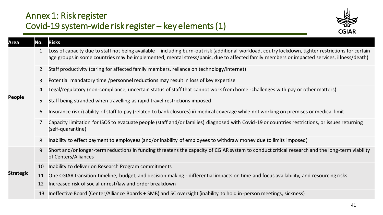## Annex 1: Risk register Covid-19 system-wide risk register – key elements (1)



| Area             | No.                       | <b>Risks</b>                                                                                                                                                                                                                                                                                     |
|------------------|---------------------------|--------------------------------------------------------------------------------------------------------------------------------------------------------------------------------------------------------------------------------------------------------------------------------------------------|
|                  |                           | Loss of capacity due to staff not being available - including burn-out risk (additional workload, coutry lockdown, tighter restrictions for certain<br>age groups in some countries may be implemented, mental stress/panic, due to affected family members or impacted services, illness/death) |
|                  | $\mathbf{2}^{\mathsf{I}}$ | Staff productivity (caring for affected family members, reliance on technology/internet)                                                                                                                                                                                                         |
|                  | $\mathbf{3}$              | Potential mandatory time /personnel reductions may result in loss of key expertise                                                                                                                                                                                                               |
|                  | $\overline{4}$            | Legal/regulatory (non-compliance, uncertain status of staff that cannot work from home -challenges with pay or other matters)                                                                                                                                                                    |
| People           | 5                         | Staff being stranded when travelling as rapid travel restrictions imposed                                                                                                                                                                                                                        |
|                  | 6                         | Insurance risk i) ability of staff to pay (related to bank closures) ii) medical coverage while not working on premises or medical limit                                                                                                                                                         |
|                  |                           | Capacity limitation for ISOS to evacuate people (staff and/or families) diagnosed with Covid-19 or countries restrictions, or issues returning<br>(self-quarantine)                                                                                                                              |
|                  | 8                         | Inability to effect payment to employees (and/or inability of employees to withdraw money due to limits imposed)                                                                                                                                                                                 |
|                  | 9                         | Short and/or longer-term reductions in funding threatens the capacity of CGIAR system to conduct critical research and the long-term viability<br>of Centers/Alliances                                                                                                                           |
|                  | 10                        | Inability to deliver on Research Program commitments                                                                                                                                                                                                                                             |
| <b>Strategic</b> | 11                        | One CGIAR transition timeline, budget, and decision making - differential impacts on time and focus availability, and resourcing risks                                                                                                                                                           |
|                  | 12                        | Increased risk of social unrest/law and order breakdown                                                                                                                                                                                                                                          |
|                  | 13                        | Ineffective Board (Center/Alliance Boards + SMB) and SC oversight (inability to hold in-person meetings, sickness)                                                                                                                                                                               |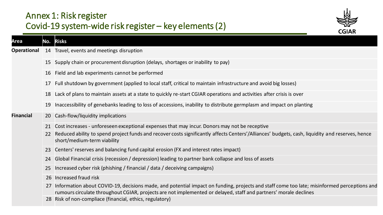# Annex 1: Risk register Covid-19 system-wide risk register – key elements (2)



 $\overline{a}$ 

| Area               |           | No. Risks                                                                                                                                                                                                                                                      |
|--------------------|-----------|----------------------------------------------------------------------------------------------------------------------------------------------------------------------------------------------------------------------------------------------------------------|
| <b>Operational</b> |           | 14 Travel, events and meetings disruption                                                                                                                                                                                                                      |
|                    |           | 15 Supply chain or procurement disruption (delays, shortages or inability to pay)                                                                                                                                                                              |
|                    |           | 16 Field and lab experiments cannot be performed                                                                                                                                                                                                               |
|                    | 17        | Full shutdown by government (applied to local staff, critical to maintain infrastructure and avoid big losses)                                                                                                                                                 |
|                    | 18        | Lack of plans to maintain assets at a state to quickly re-start CGIAR operations and activities after crisis is over                                                                                                                                           |
|                    | 19        | Inaccessibility of genebanks leading to loss of accessions, inability to distribute germplasm and impact on planting                                                                                                                                           |
| <b>Financial</b>   | <b>20</b> | Cash-flow/liquidity implications                                                                                                                                                                                                                               |
|                    | 21        | Cost increases - unforeseen exceptional expenses that may incur. Donors may not be receptive                                                                                                                                                                   |
|                    | 22        | Reduced ability to spend project funds and recover costs significantly affects Centers'/Alliances' budgets, cash, liquidity and reserves, hence<br>short/medium-term viability                                                                                 |
|                    | 23        | Centers' reserves and balancing fund capital erosion (FX and interest rates impact)                                                                                                                                                                            |
|                    | 24        | Global Financial crisis (recession / depression) leading to partner bank collapse and loss of assets                                                                                                                                                           |
|                    | 25        | Increased cyber risk (phishing / financial / data / deceiving campaigns)                                                                                                                                                                                       |
|                    |           | 26 Increased fraud risk                                                                                                                                                                                                                                        |
|                    | 27        | Information about COVID-19, decisions made, and potential impact on funding, projects and staff come too late; misinformed perceptions and<br>rumours circulate throughout CGIAR, projects are not implemented or delayed, staff and partners' morale declines |
|                    |           | 28 Risk of non-compliace (financial, ethics, regulatory)                                                                                                                                                                                                       |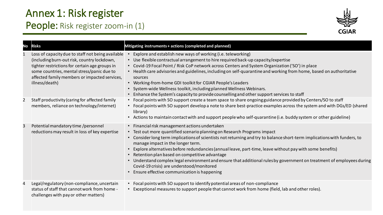# People: Risk register zoom-in (1)



| <b>No</b> | <b>Risks</b>                                                                                                                                                                                                                                                        | Mitigating instruments + actions (completed and planned)                                                                                                                                                                                                                                                                                                                                                                                                                                                                                                                                                                                                                        |
|-----------|---------------------------------------------------------------------------------------------------------------------------------------------------------------------------------------------------------------------------------------------------------------------|---------------------------------------------------------------------------------------------------------------------------------------------------------------------------------------------------------------------------------------------------------------------------------------------------------------------------------------------------------------------------------------------------------------------------------------------------------------------------------------------------------------------------------------------------------------------------------------------------------------------------------------------------------------------------------|
|           | Loss of capacity due to staff not being available<br>(including burn-out risk, country lockdown,<br>tighter restrictions for certain age groups in<br>some countries, mental stress/panic due to<br>affected family members or impacted services,<br>illness/death) | Explore and establish new ways of working (i.e. teleworking)<br>• Use flexible contractual arrangement to hire required back-up capacity/expertise<br>• Covid-19 Focal Point / Risk CoP network across Centers and System Organization ('SO') in place<br>• Health care advisories and guidelines, including on self-quarantine and working from home, based on authoritative<br>sources<br>• Working-from-home GDI toolkit for CGIAR People's Leaders<br>• System-wide Wellness toolkit, including planned Wellness Webinars.<br>Enhance the System's capacity to provide counselling and other support services to staff                                                      |
| 2         | Staff productivity (caring for affected family<br>members, reliance on technology/internet)                                                                                                                                                                         | • Focal points with SO support create a team space to share ongoing guidance provided by Centers/SO to staff<br>• Focal points with SO support develop a note to share best-practice examples across the system and with DGs/ED (shared<br>library)<br>• Actions to maintain contact with and support people who self-quarantine (i.e. buddy system or other guideline)                                                                                                                                                                                                                                                                                                         |
| 3         | Potential mandatory time /personnel<br>reductions may result in loss of key expertise                                                                                                                                                                               | • Financial risk management actions undertaken<br>• Test out more quantified scenario planning on Research Programs impact<br>• Consider long term implications of scientists not returning and try to balance short-term implications with funders, to<br>manage impact in the longer term.<br>Explore alternatives before redundancies (annual leave, part-time, leave without pay with some benefits)<br>Retention plan based on competitive advantage<br>• Understand complex legal environment and ensure that additional rules by government on treatment of employees during<br>Covid-19 crisis) are understood/monitored<br>Ensure effective communication is happening |
| 4         | Legal/regulatory (non-compliance, uncertain<br>status of staff that cannot work from home -<br>challenges with pay or other matters)                                                                                                                                | • Focal points with SO support to identify potential areas of non-compliance<br>Exceptional measures to support people that cannot work from home (field, lab and other roles).                                                                                                                                                                                                                                                                                                                                                                                                                                                                                                 |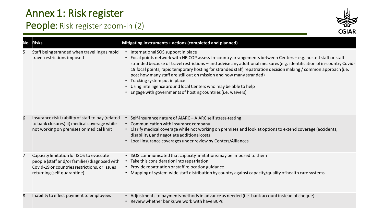# People: Risk register zoom-in (2)



| No | <b>Risks</b>                                                                                                                                                              | Mitigating instruments + actions (completed and planned)                                                                                                                                                                                                                                                                                                                                                                                                                                                                                                                                                                                           |
|----|---------------------------------------------------------------------------------------------------------------------------------------------------------------------------|----------------------------------------------------------------------------------------------------------------------------------------------------------------------------------------------------------------------------------------------------------------------------------------------------------------------------------------------------------------------------------------------------------------------------------------------------------------------------------------------------------------------------------------------------------------------------------------------------------------------------------------------------|
| 5  | Staff being stranded when travelling as rapid<br>travel restrictions imposed                                                                                              | • International SOS support in place<br>• Focal points network with HR COP assess in-country arrangements between Centers-e.g. hosted staff or staff<br>stranded because of travel restrictions - and advise any additional measures (e.g. identification of in-country Covid-<br>19 focal points, rapid temporary hosting for stranded staff, repatriation decision making / common approach (i.e.<br>post how many staff are still out on mission and how many stranded)<br>• Tracking system put in place<br>• Using intelligence around local Centers who may be able to help<br>• Engage with governments of hosting countries (i.e. waivers) |
| 6  | Insurance risk i) ability of staff to pay (related<br>to bank closures) ii) medical coverage while<br>not working on premises or medical limit                            | • Self-insurance nature of AIARC - AIARC self stress-testing<br>• Communication with insurance company<br>• Clarify medical coverage while not working on premises and look at options to extend coverage (accidents,<br>disability), and negotiate additional costs<br>Local insurance coverages under review by Centers/Alliances                                                                                                                                                                                                                                                                                                                |
| 7  | Capacity limitation for ISOS to evacuate<br>people (staff and/or families) diagnosed with<br>Covid-19 or countries restrictions, or issues<br>returning (self-quarantine) | ISOS communicated that capacity limitations may be imposed to them<br>• Take this consideration into repatriation<br>• Provide repatriation or staff relocation guidance<br>• Mapping of system-wide staff distribution by country against capacity/quality of health care systems                                                                                                                                                                                                                                                                                                                                                                 |
| 8  | Inability to effect payment to employees                                                                                                                                  | Adjustments to payments methods in advance as needed (i.e. bank account instead of cheque)<br>Review whether banks we work with have BCPs                                                                                                                                                                                                                                                                                                                                                                                                                                                                                                          |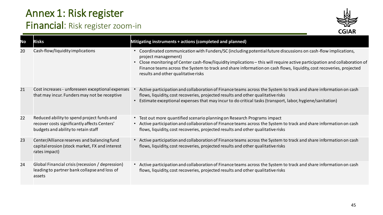# Financial: Risk register zoom-in



| No | <b>Risks</b>                                                                                                                      | Mitigating instruments + actions (completed and planned)                                                                                                                                                                                                                                                                                                                                                                           |
|----|-----------------------------------------------------------------------------------------------------------------------------------|------------------------------------------------------------------------------------------------------------------------------------------------------------------------------------------------------------------------------------------------------------------------------------------------------------------------------------------------------------------------------------------------------------------------------------|
| 20 | Cash-flow/liquidity implications                                                                                                  | • Coordinated communication with Funders/SC (including potential future discussions on cash-flow implications,<br>project management)<br>• Close monitoring of Center cash-flow/liquidity implications - this will require active participation and collaboration of<br>Finance teams across the System to track and share information on cash flows, liquidity, cost recoveries, projected<br>results and other qualitative risks |
| 21 | Cost increases - unforeseen exceptional expenses<br>that may incur. Funders may not be receptive                                  | Active participation and collaboration of Finance teams across the System to track and share information on cash<br>flows, liquidity, cost recoveries, projected results and other qualitative risks<br>Estimate exceptional expenses that may incur to do critical tasks (transport, labor, hygiene/sanitation)                                                                                                                   |
| 22 | Reduced ability to spend project funds and<br>recover costs significantly affects Centers'<br>budgets and ability to retain staff | • Test out more quantified scenario planning on Research Programs impact<br>• Active participation and collaboration of Finance teams across the System to track and share information on cash<br>flows, liquidity, cost recoveries, projected results and other qualitative risks                                                                                                                                                 |
| 23 | Center/Alliance reserves and balancing fund<br>capital erosion (stock market, FX and interest<br>rates impact)                    | • Active participation and collaboration of Finance teams across the System to track and share information on cash<br>flows, liquidity, cost recoveries, projected results and other qualitative risks                                                                                                                                                                                                                             |
| 24 | Global Financial crisis (recession / depression)<br>leading to partner bank collapse and loss of<br>assets                        | • Active participation and collaboration of Finance teams across the System to track and share information on cash<br>flows, liquidity, cost recoveries, projected results and other qualitative risks                                                                                                                                                                                                                             |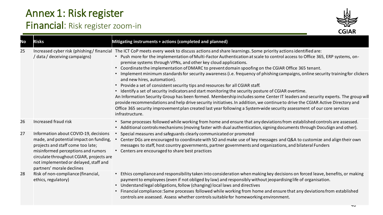# Financial: Risk register zoom-in



| No | <b>Risks</b>                                                                                                                                                                                                                                                                 | Mitigating instruments + actions (completed and planned)                                                                                                                                                                                                                                                                                                                                                                                                                                                                                                                                                                                                                                                                                                                                                                                                                                                                                                                                                                                                                                                                                                                                                                                                        |
|----|------------------------------------------------------------------------------------------------------------------------------------------------------------------------------------------------------------------------------------------------------------------------------|-----------------------------------------------------------------------------------------------------------------------------------------------------------------------------------------------------------------------------------------------------------------------------------------------------------------------------------------------------------------------------------------------------------------------------------------------------------------------------------------------------------------------------------------------------------------------------------------------------------------------------------------------------------------------------------------------------------------------------------------------------------------------------------------------------------------------------------------------------------------------------------------------------------------------------------------------------------------------------------------------------------------------------------------------------------------------------------------------------------------------------------------------------------------------------------------------------------------------------------------------------------------|
| 25 | / data/ deceiving campaigns)                                                                                                                                                                                                                                                 | Increased cyber risk (phishing/financial The ICT CoP meets every week to discuss actions and share learnings. Some priority actions identified are:<br>• Push more for the implementation of Multi-Factor Authentication at scale to control access to Office 365, ERP systems, on-<br>premise systems through VPNs, and other key cloud applications.<br>Coordinate the implementation of DMARC to prevent domain spoofing on the CGIAR Office 365 tenant.<br>$\bullet$<br>Implement minimum standards for security awareness (i.e. frequency of phishing campaigns, online security training for clickers<br>and new hires, automation).<br>• Provide a set of consistent security tips and resources for all CGIAR staff.<br>Identify a set of security indicators and start monitoring the security posture of CGIAR overtime.<br>$\bullet$<br>An Information Security Group has been formed. Membership includes some Center IT leaders and security experts. The group wil<br>provide recommendations and help drive security initiatives. In addition, we continue to drive the CGIAR Active Directory and<br>Office 365 security improvement plan created last year following a System-wide security assessment of our core services<br>infrastructure. |
| 26 | Increased fraud risk                                                                                                                                                                                                                                                         | Same processes followed while working from home and ensure that any deviations from established controls are assessed.<br>Additional controls mechanisms (moving faster with dual authentication, signing documents through DocuSign and other).                                                                                                                                                                                                                                                                                                                                                                                                                                                                                                                                                                                                                                                                                                                                                                                                                                                                                                                                                                                                                |
| 27 | Information about COVID-19, decisions<br>made, and potential impact on funding,<br>projects and staff come too late;<br>misinformed perceptions and rumors<br>circulate throughout CGIAR, projects are<br>not implemented or delayed, staff and<br>partners' morale declines | Special measures and safeguards clearly communicated or promoted<br>Center DGs are encouraged to coordinate with SO and make use of key messages and Q&A to customize and align their own<br>messages to staff, host country governments, partner governments and organizations, and bilateral Funders<br>• Centers are encouraged to share best practices                                                                                                                                                                                                                                                                                                                                                                                                                                                                                                                                                                                                                                                                                                                                                                                                                                                                                                      |
| 28 | Risk of non-compliance (financial,<br>ethics, regulatory)                                                                                                                                                                                                                    | Ethics compliance and responsibility taken into consideration when making key decisions on forced leave, benefits, or making<br>$\bullet$<br>payment to employees (even if not obliged by law) and responsibly without jeopardising life of organisation.<br>• Understand legal obligations, follow (changing) local laws and directives<br>Financial compliance: Same processes followed while working from home and ensure that any deviations from established<br>controls are assessed. Assess whether controls suitable for homeworking environment.                                                                                                                                                                                                                                                                                                                                                                                                                                                                                                                                                                                                                                                                                                       |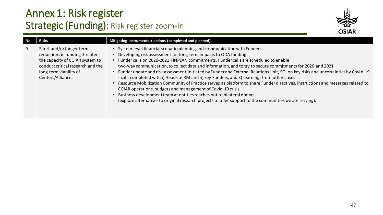# Annex 1: Risk register Strategic (Funding): Risk register zoom-in



| No | <b>Risks</b>                                                                                                                                                                       | Mitigating instruments + actions (completed and planned)                                                                                                                                                                                                                                                                                                                                                                                                                                                                                                                                                                                                                                                                                                                                                                                                                                                                                                                     |
|----|------------------------------------------------------------------------------------------------------------------------------------------------------------------------------------|------------------------------------------------------------------------------------------------------------------------------------------------------------------------------------------------------------------------------------------------------------------------------------------------------------------------------------------------------------------------------------------------------------------------------------------------------------------------------------------------------------------------------------------------------------------------------------------------------------------------------------------------------------------------------------------------------------------------------------------------------------------------------------------------------------------------------------------------------------------------------------------------------------------------------------------------------------------------------|
| 9  | Short and/or longer-term<br>reductions in funding threatens<br>the capacity of CGIAR system to<br>conduct critical research and the<br>long-term viability of<br>Centers/Alliances | System-level financial scenario planning and communication with Funders<br>Developing risk assessment for long-term impacts to ODA funding<br>Funder calls on 2020-2021 FINPLAN commitments. Funder calls are scheduled to enable<br>two-way communication, to collect data and information, and to try to secure commitments for 2020 and 2021<br>Funder update and risk assessment initiated by Funder and External Relations Unit, SO, on key risks and uncertainties by Covid-19<br>- calls completed with i) Heads of RM and ii) key Funders, and 3) learnings from other crises<br>Resource Mobilization Community of Practice serves as platform to share Funder directives, instructions and messages related to<br>CGIAR operations, budgets and management of Covid-19 crisis<br>Business development team at entities reaches out to bilateral donors<br>(explore alternatives to original research projects to offer support to the communities we are serving). |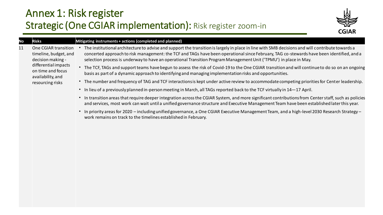# Annex 1: Risk register Strategic (One CGIAR implementation): Risk register zoom-in



#### 11 One CGIAR transition timeline, budget, and decision making differential impacts on time and focus availability, and resourcing risks

#### **No Risks Mitigating instruments + actions (completed and planned)**

- The institutional architecture to advise and support the transition is largely in place in line with SMB decisions and will contribute towards a concerted approach to risk management: the TCF and TAGs have been operational since February, TAG co-stewards have been identified, and a selection process is underway to have an operational Transition Program Management Unit ('TPMU') in place in May.
- The TCF, TAGs and support teams have begun to assess the risk of Covid-19 to the One CGIAR transition and will continue to do so on an ongoing basis as part of a dynamic approach to identifying and managing implementation risks and opportunities.
- The number and frequency of TAG and TCF interactions is kept under active review to accommodate competing priorities for Center leadership.
- In lieu of a previously planned in-person meeting in March, all TAGs reported back to the TCF virtually in 14—17 April.
- In transition areas that require deeper integration across the CGIAR System, and more significant contributions from Center staff, such as policies and services, most work can wait until a unified governance structure and Executive Management Team have been established later this year.
- In priority areas for 2020 including unified governance, a One CGIAR Executive Management Team, and a high-level 2030 Research Strategy work remains on track to the timelines established in February.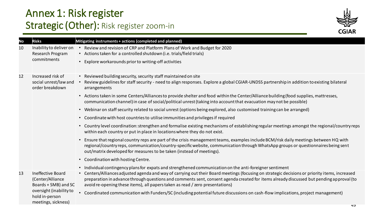# Annex 1: Risk register Strategic (Other): Risk register zoom-in



| No | <b>Risks</b>                                                                                                                      | Mitigating instruments + actions (completed and planned)                                                                                                                                                                                                                                                                                                                                                                                                                                                                                                                                                                                                                                                                                                                                                                                                                                                                                                                                                                                                                                                                                                                                                                                                                                                                                            |
|----|-----------------------------------------------------------------------------------------------------------------------------------|-----------------------------------------------------------------------------------------------------------------------------------------------------------------------------------------------------------------------------------------------------------------------------------------------------------------------------------------------------------------------------------------------------------------------------------------------------------------------------------------------------------------------------------------------------------------------------------------------------------------------------------------------------------------------------------------------------------------------------------------------------------------------------------------------------------------------------------------------------------------------------------------------------------------------------------------------------------------------------------------------------------------------------------------------------------------------------------------------------------------------------------------------------------------------------------------------------------------------------------------------------------------------------------------------------------------------------------------------------|
| 10 | Inability to deliver on<br>Research Program<br>commitments                                                                        | Review and revision of CRP and Platform Plans of Work and Budget for 2020<br>• Actions taken for a controlled shutdown (i.e. trials/field trials)<br>• Explore workarounds prior to writing-off activities                                                                                                                                                                                                                                                                                                                                                                                                                                                                                                                                                                                                                                                                                                                                                                                                                                                                                                                                                                                                                                                                                                                                          |
| 12 | Increased risk of<br>social unrest/law and<br>order breakdown                                                                     | • Reviewed building security, security staff maintained on site<br>Review guidelines for staff security - need to align responses. Explore a global CGIAR-UNDSS partnership in addition to existing bilateral<br>arrangements<br>• Actions taken in some Centers/Alliances to provide shelter and food within the Center/Alliance building (food supplies, mattresses,<br>communication channel) in case of social/political unrest (taking into account that evacuation may not be possible)<br>• Webinar on staff security related to social unrest (options being explored, also customised training can be arranged)<br>• Coordinate with host countries to utilise immunities and privileges if required<br>• Country level coordination: strengthen and formalise existing mechanisms of establishing regular meetings amongst the regional/country reps<br>within each country or put in place in locations where they do not exist.<br>Ensure that regional country reps are part of the crisis management teams, examples include BCM/risk daily meetings between HQ with<br>$\bullet$<br>regional/country reps, communication/country-specific website, communication through WhatsApp groups or questionnaires being sent<br>out/matrix developed for measures to be taken (instead of meetings).<br>• Coordination with hosting Centre. |
| 13 | Ineffective Board<br>(Center/Alliance<br>Boards + SMB) and SC<br>oversight (inability to<br>hold in-person<br>meetings, sickness) | • Individual contingency plans for expats and strengthened communication on the anti-foreigner sentiment<br>• Centers/Alliances adjusted agenda and way of carrying out their Board meetings (focusing on strategic decisions or priority items, increased<br>preparation in advance through questions and comments sent, consent agenda created for items already discussed but pending approval (to<br>avoid re-opening these items), all papers taken as read / zero presentations)<br>• Coordinated communication with Funders/SC (including potential future discussions on cash-flow implications, project management)                                                                                                                                                                                                                                                                                                                                                                                                                                                                                                                                                                                                                                                                                                                        |